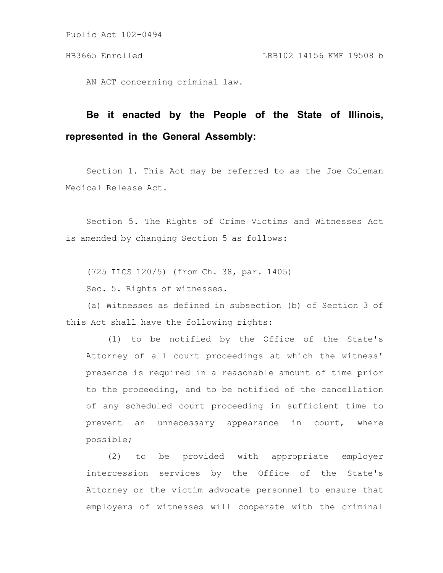AN ACT concerning criminal law.

# **Be it enacted by the People of the State of Illinois, represented in the General Assembly:**

Section 1. This Act may be referred to as the Joe Coleman Medical Release Act.

Section 5. The Rights of Crime Victims and Witnesses Act is amended by changing Section 5 as follows:

(725 ILCS 120/5) (from Ch. 38, par. 1405)

Sec. 5. Rights of witnesses.

(a) Witnesses as defined in subsection (b) of Section 3 of this Act shall have the following rights:

(1) to be notified by the Office of the State's Attorney of all court proceedings at which the witness' presence is required in a reasonable amount of time prior to the proceeding, and to be notified of the cancellation of any scheduled court proceeding in sufficient time to prevent an unnecessary appearance in court, where possible;

(2) to be provided with appropriate employer intercession services by the Office of the State's Attorney or the victim advocate personnel to ensure that employers of witnesses will cooperate with the criminal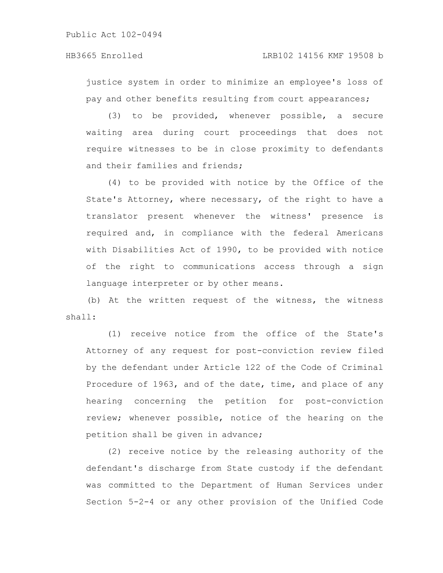justice system in order to minimize an employee's loss of pay and other benefits resulting from court appearances;

(3) to be provided, whenever possible, a secure waiting area during court proceedings that does not require witnesses to be in close proximity to defendants and their families and friends;

(4) to be provided with notice by the Office of the State's Attorney, where necessary, of the right to have a translator present whenever the witness' presence is required and, in compliance with the federal Americans with Disabilities Act of 1990, to be provided with notice of the right to communications access through a sign language interpreter or by other means.

(b) At the written request of the witness, the witness shall:

(1) receive notice from the office of the State's Attorney of any request for post-conviction review filed by the defendant under Article 122 of the Code of Criminal Procedure of 1963, and of the date, time, and place of any hearing concerning the petition for post-conviction review; whenever possible, notice of the hearing on the petition shall be given in advance;

(2) receive notice by the releasing authority of the defendant's discharge from State custody if the defendant was committed to the Department of Human Services under Section 5-2-4 or any other provision of the Unified Code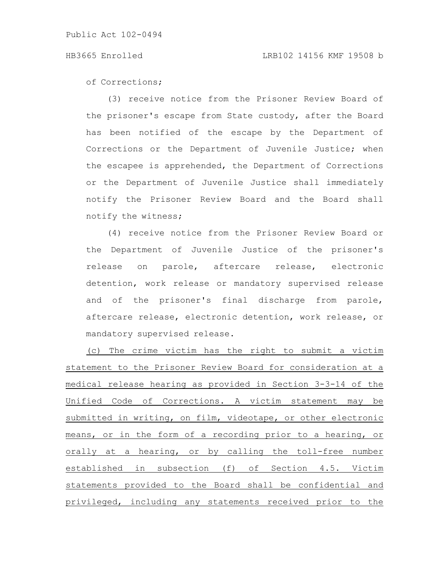of Corrections;

(3) receive notice from the Prisoner Review Board of the prisoner's escape from State custody, after the Board has been notified of the escape by the Department of Corrections or the Department of Juvenile Justice; when the escapee is apprehended, the Department of Corrections or the Department of Juvenile Justice shall immediately notify the Prisoner Review Board and the Board shall notify the witness;

(4) receive notice from the Prisoner Review Board or the Department of Juvenile Justice of the prisoner's release on parole, aftercare release, electronic detention, work release or mandatory supervised release and of the prisoner's final discharge from parole, aftercare release, electronic detention, work release, or mandatory supervised release.

(c) The crime victim has the right to submit a victim statement to the Prisoner Review Board for consideration at a medical release hearing as provided in Section 3-3-14 of the Unified Code of Corrections. A victim statement may be submitted in writing, on film, videotape, or other electronic means, or in the form of a recording prior to a hearing, or orally at a hearing, or by calling the toll-free number established in subsection (f) of Section 4.5. Victim statements provided to the Board shall be confidential and privileged, including any statements received prior to the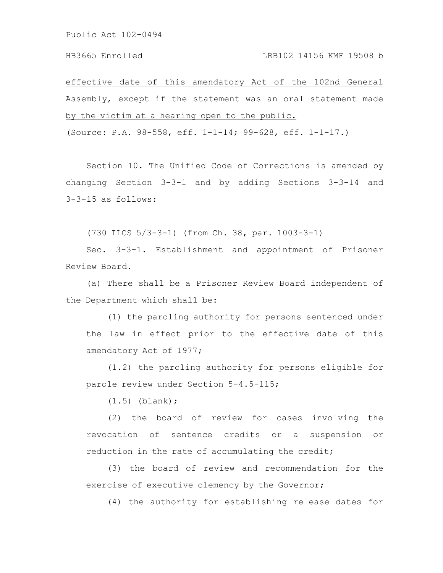effective date of this amendatory Act of the 102nd General Assembly, except if the statement was an oral statement made by the victim at a hearing open to the public.

(Source: P.A. 98-558, eff. 1-1-14; 99-628, eff. 1-1-17.)

Section 10. The Unified Code of Corrections is amended by changing Section 3-3-1 and by adding Sections 3-3-14 and 3-3-15 as follows:

(730 ILCS 5/3-3-1) (from Ch. 38, par. 1003-3-1)

Sec. 3-3-1. Establishment and appointment of Prisoner Review Board.

(a) There shall be a Prisoner Review Board independent of the Department which shall be:

(1) the paroling authority for persons sentenced under the law in effect prior to the effective date of this amendatory Act of 1977;

(1.2) the paroling authority for persons eligible for parole review under Section 5-4.5-115;

(1.5) (blank);

(2) the board of review for cases involving the revocation of sentence credits or a suspension or reduction in the rate of accumulating the credit;

(3) the board of review and recommendation for the exercise of executive clemency by the Governor;

(4) the authority for establishing release dates for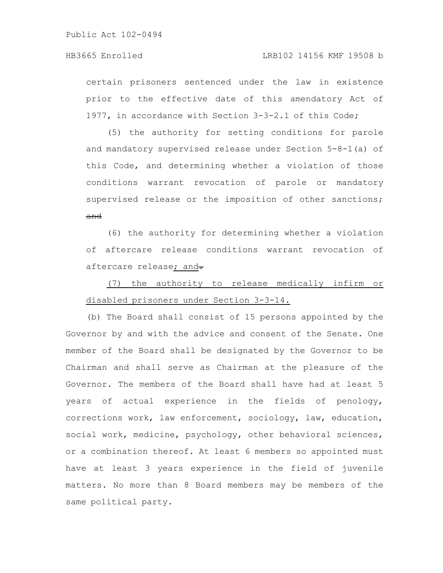### HB3665 Enrolled LRB102 14156 KMF 19508 b

certain prisoners sentenced under the law in existence prior to the effective date of this amendatory Act of 1977, in accordance with Section 3-3-2.1 of this Code;

(5) the authority for setting conditions for parole and mandatory supervised release under Section 5-8-1(a) of this Code, and determining whether a violation of those conditions warrant revocation of parole or mandatory supervised release or the imposition of other sanctions; and

(6) the authority for determining whether a violation of aftercare release conditions warrant revocation of aftercare release; and-

## (7) the authority to release medically infirm or disabled prisoners under Section 3-3-14.

(b) The Board shall consist of 15 persons appointed by the Governor by and with the advice and consent of the Senate. One member of the Board shall be designated by the Governor to be Chairman and shall serve as Chairman at the pleasure of the Governor. The members of the Board shall have had at least 5 years of actual experience in the fields of penology, corrections work, law enforcement, sociology, law, education, social work, medicine, psychology, other behavioral sciences, or a combination thereof. At least 6 members so appointed must have at least 3 years experience in the field of juvenile matters. No more than 8 Board members may be members of the same political party.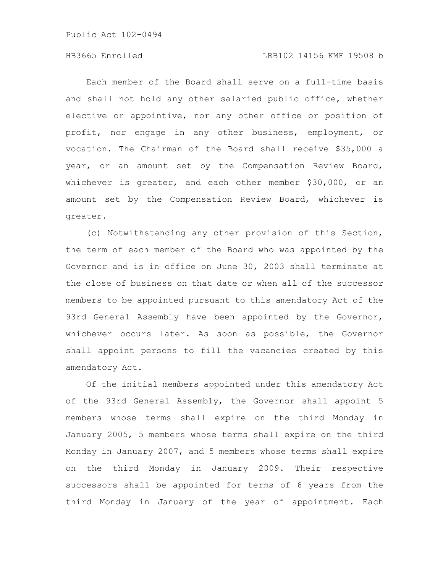### HB3665 Enrolled LRB102 14156 KMF 19508 b

Each member of the Board shall serve on a full-time basis and shall not hold any other salaried public office, whether elective or appointive, nor any other office or position of profit, nor engage in any other business, employment, or vocation. The Chairman of the Board shall receive \$35,000 a year, or an amount set by the Compensation Review Board, whichever is greater, and each other member \$30,000, or an amount set by the Compensation Review Board, whichever is greater.

(c) Notwithstanding any other provision of this Section, the term of each member of the Board who was appointed by the Governor and is in office on June 30, 2003 shall terminate at the close of business on that date or when all of the successor members to be appointed pursuant to this amendatory Act of the 93rd General Assembly have been appointed by the Governor, whichever occurs later. As soon as possible, the Governor shall appoint persons to fill the vacancies created by this amendatory Act.

Of the initial members appointed under this amendatory Act of the 93rd General Assembly, the Governor shall appoint 5 members whose terms shall expire on the third Monday in January 2005, 5 members whose terms shall expire on the third Monday in January 2007, and 5 members whose terms shall expire on the third Monday in January 2009. Their respective successors shall be appointed for terms of 6 years from the third Monday in January of the year of appointment. Each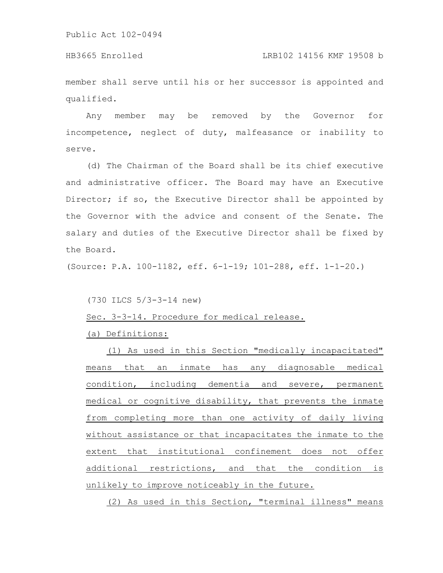HB3665 Enrolled LRB102 14156 KMF 19508 b

member shall serve until his or her successor is appointed and qualified.

Any member may be removed by the Governor for incompetence, neglect of duty, malfeasance or inability to serve.

(d) The Chairman of the Board shall be its chief executive and administrative officer. The Board may have an Executive Director; if so, the Executive Director shall be appointed by the Governor with the advice and consent of the Senate. The salary and duties of the Executive Director shall be fixed by the Board.

(Source: P.A. 100-1182, eff. 6-1-19; 101-288, eff. 1-1-20.)

(730 ILCS 5/3-3-14 new)

Sec. 3-3-14. Procedure for medical release.

(a) Definitions:

(1) As used in this Section "medically incapacitated" means that an inmate has any diagnosable medical condition, including dementia and severe, permanent medical or cognitive disability, that prevents the inmate from completing more than one activity of daily living without assistance or that incapacitates the inmate to the extent that institutional confinement does not offer additional restrictions, and that the condition is unlikely to improve noticeably in the future.

(2) As used in this Section, "terminal illness" means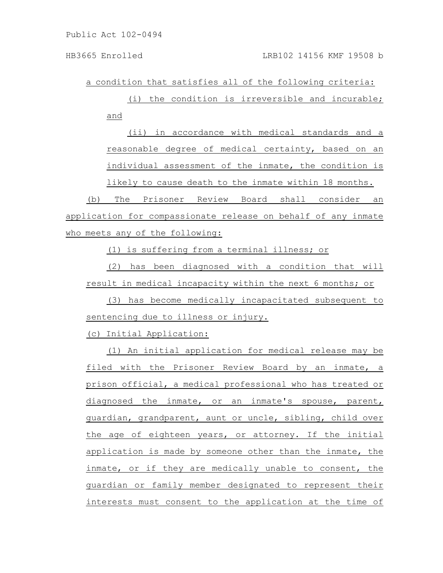a condition that satisfies all of the following criteria:

(i) the condition is irreversible and incurable; and

(ii) in accordance with medical standards and a reasonable degree of medical certainty, based on an individual assessment of the inmate, the condition is likely to cause death to the inmate within 18 months.

(b) The Prisoner Review Board shall consider an application for compassionate release on behalf of any inmate who meets any of the following:

(1) is suffering from a terminal illness; or

(2) has been diagnosed with a condition that will result in medical incapacity within the next 6 months; or

(3) has become medically incapacitated subsequent to sentencing due to illness or injury.

(c) Initial Application:

(1) An initial application for medical release may be filed with the Prisoner Review Board by an inmate, a prison official, a medical professional who has treated or diagnosed the inmate, or an inmate's spouse, parent, guardian, grandparent, aunt or uncle, sibling, child over the age of eighteen years, or attorney. If the initial application is made by someone other than the inmate, the inmate, or if they are medically unable to consent, the guardian or family member designated to represent their interests must consent to the application at the time of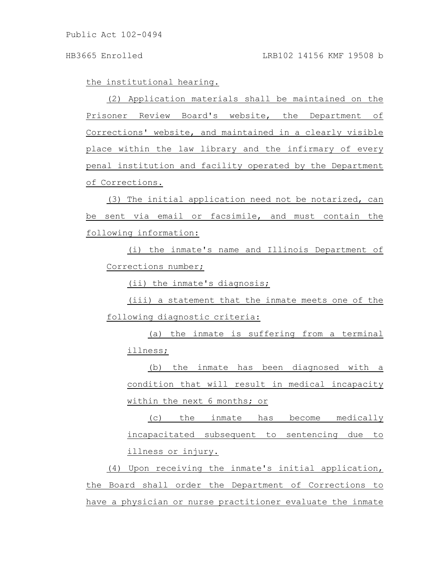### HB3665 Enrolled LRB102 14156 KMF 19508 b

the institutional hearing.

(2) Application materials shall be maintained on the Prisoner Review Board's website, the Department of Corrections' website, and maintained in a clearly visible place within the law library and the infirmary of every penal institution and facility operated by the Department of Corrections.

(3) The initial application need not be notarized, can be sent via email or facsimile, and must contain the following information:

(i) the inmate's name and Illinois Department of Corrections number;

(ii) the inmate's diagnosis;

(iii) a statement that the inmate meets one of the following diagnostic criteria:

(a) the inmate is suffering from a terminal illness;

(b) the inmate has been diagnosed with a condition that will result in medical incapacity within the next 6 months; or

(c) the inmate has become medically incapacitated subsequent to sentencing due to illness or injury.

(4) Upon receiving the inmate's initial application, the Board shall order the Department of Corrections to have a physician or nurse practitioner evaluate the inmate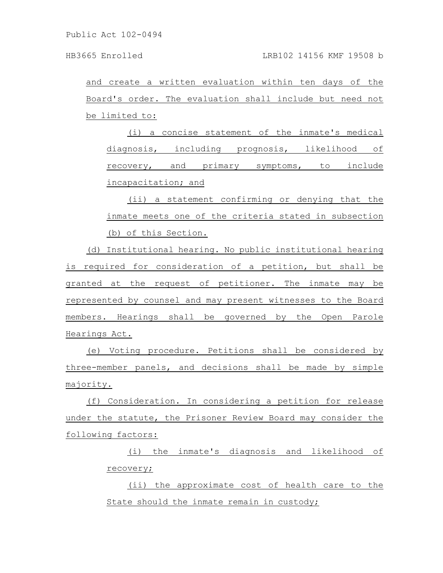and create a written evaluation within ten days of the Board's order. The evaluation shall include but need not be limited to:

(i) a concise statement of the inmate's medical diagnosis, including prognosis, likelihood of recovery, and primary symptoms, to include incapacitation; and

(ii) a statement confirming or denying that the inmate meets one of the criteria stated in subsection (b) of this Section.

(d) Institutional hearing. No public institutional hearing is required for consideration of a petition, but shall be granted at the request of petitioner. The inmate may be represented by counsel and may present witnesses to the Board members. Hearings shall be governed by the Open Parole Hearings Act.

(e) Voting procedure. Petitions shall be considered by three-member panels, and decisions shall be made by simple majority.

(f) Consideration. In considering a petition for release under the statute, the Prisoner Review Board may consider the following factors:

> (i) the inmate's diagnosis and likelihood of recovery;

> (ii) the approximate cost of health care to the State should the inmate remain in custody;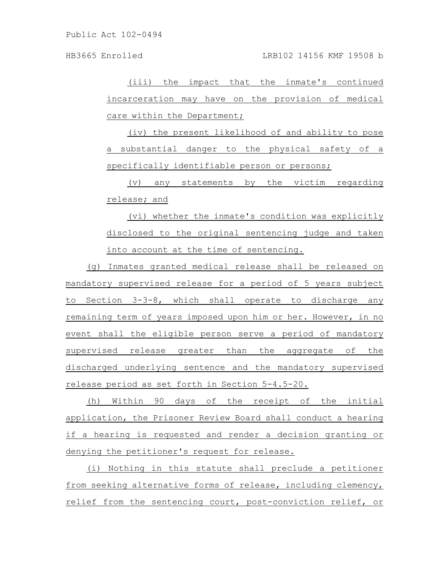HB3665 Enrolled LRB102 14156 KMF 19508 b

(iii) the impact that the inmate's continued incarceration may have on the provision of medical care within the Department;

(iv) the present likelihood of and ability to pose a substantial danger to the physical safety of a specifically identifiable person or persons;

(v) any statements by the victim regarding release; and

(vi) whether the inmate's condition was explicitly disclosed to the original sentencing judge and taken into account at the time of sentencing.

(g) Inmates granted medical release shall be released on mandatory supervised release for a period of 5 years subject to Section 3-3-8, which shall operate to discharge any remaining term of years imposed upon him or her. However, in no event shall the eligible person serve a period of mandatory supervised release greater than the aggregate of the discharged underlying sentence and the mandatory supervised release period as set forth in Section 5-4.5-20.

(h) Within 90 days of the receipt of the initial application, the Prisoner Review Board shall conduct a hearing if a hearing is requested and render a decision granting or denying the petitioner's request for release.

(i) Nothing in this statute shall preclude a petitioner from seeking alternative forms of release, including clemency, relief from the sentencing court, post-conviction relief, or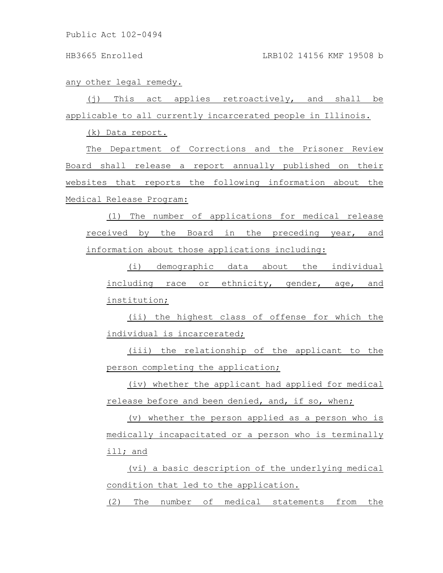any other legal remedy.

(j) This act applies retroactively, and shall be applicable to all currently incarcerated people in Illinois.

(k) Data report.

The Department of Corrections and the Prisoner Review Board shall release a report annually published on their websites that reports the following information about the Medical Release Program:

(1) The number of applications for medical release received by the Board in the preceding year, and information about those applications including:

(i) demographic data about the individual including race or ethnicity, gender, age, and institution;

(ii) the highest class of offense for which the individual is incarcerated;

(iii) the relationship of the applicant to the person completing the application;

(iv) whether the applicant had applied for medical release before and been denied, and, if so, when;

(v) whether the person applied as a person who is medically incapacitated or a person who is terminally ill; and

(vi) a basic description of the underlying medical condition that led to the application.

(2) The number of medical statements from the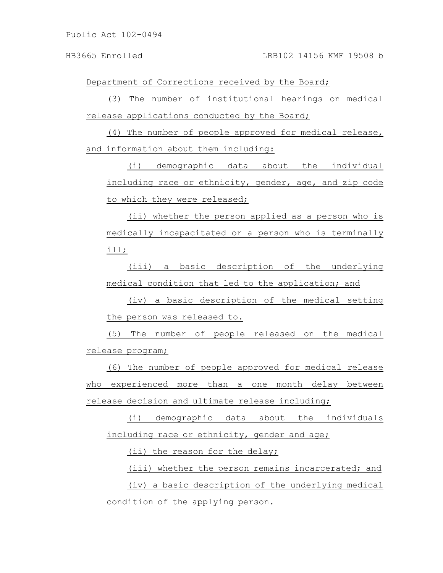Department of Corrections received by the Board;

(3) The number of institutional hearings on medical release applications conducted by the Board;

(4) The number of people approved for medical release, and information about them including:

(i) demographic data about the individual including race or ethnicity, gender, age, and zip code to which they were released;

(ii) whether the person applied as a person who is medically incapacitated or a person who is terminally ill;

(iii) a basic description of the underlying medical condition that led to the application; and

(iv) a basic description of the medical setting the person was released to.

(5) The number of people released on the medical release program;

(6) The number of people approved for medical release who experienced more than a one month delay between release decision and ultimate release including;

(i) demographic data about the individuals including race or ethnicity, gender and age;

(ii) the reason for the delay;

(iii) whether the person remains incarcerated; and (iv) a basic description of the underlying medical condition of the applying person.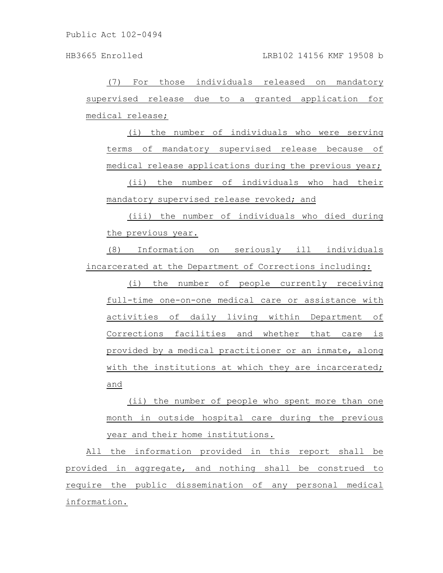HB3665 Enrolled LRB102 14156 KMF 19508 b

(7) For those individuals released on mandatory supervised release due to a granted application for medical release;

(i) the number of individuals who were serving terms of mandatory supervised release because of medical release applications during the previous year;

(ii) the number of individuals who had their mandatory supervised release revoked; and

(iii) the number of individuals who died during the previous year.

(8) Information on seriously ill individuals incarcerated at the Department of Corrections including:

(i) the number of people currently receiving full-time one-on-one medical care or assistance with activities of daily living within Department of Corrections facilities and whether that care is provided by a medical practitioner or an inmate, along with the institutions at which they are incarcerated; and

(ii) the number of people who spent more than one month in outside hospital care during the previous year and their home institutions.

All the information provided in this report shall be provided in aggregate, and nothing shall be construed to require the public dissemination of any personal medical information.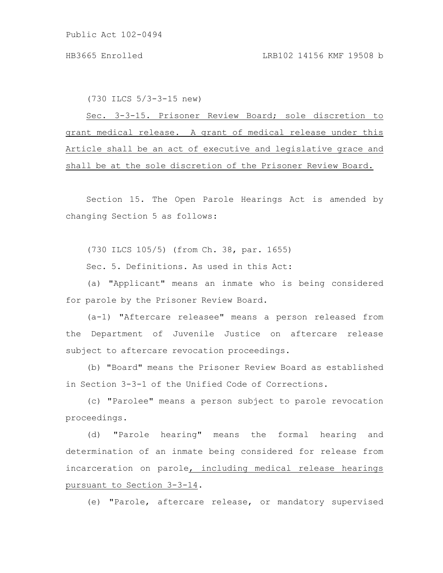(730 ILCS 5/3-3-15 new)

Sec. 3-3-15. Prisoner Review Board; sole discretion to grant medical release. A grant of medical release under this Article shall be an act of executive and legislative grace and shall be at the sole discretion of the Prisoner Review Board.

Section 15. The Open Parole Hearings Act is amended by changing Section 5 as follows:

(730 ILCS 105/5) (from Ch. 38, par. 1655)

Sec. 5. Definitions. As used in this Act:

(a) "Applicant" means an inmate who is being considered for parole by the Prisoner Review Board.

(a-1) "Aftercare releasee" means a person released from the Department of Juvenile Justice on aftercare release subject to aftercare revocation proceedings.

(b) "Board" means the Prisoner Review Board as established in Section 3-3-1 of the Unified Code of Corrections.

(c) "Parolee" means a person subject to parole revocation proceedings.

(d) "Parole hearing" means the formal hearing and determination of an inmate being considered for release from incarceration on parole, including medical release hearings pursuant to Section 3-3-14.

(e) "Parole, aftercare release, or mandatory supervised